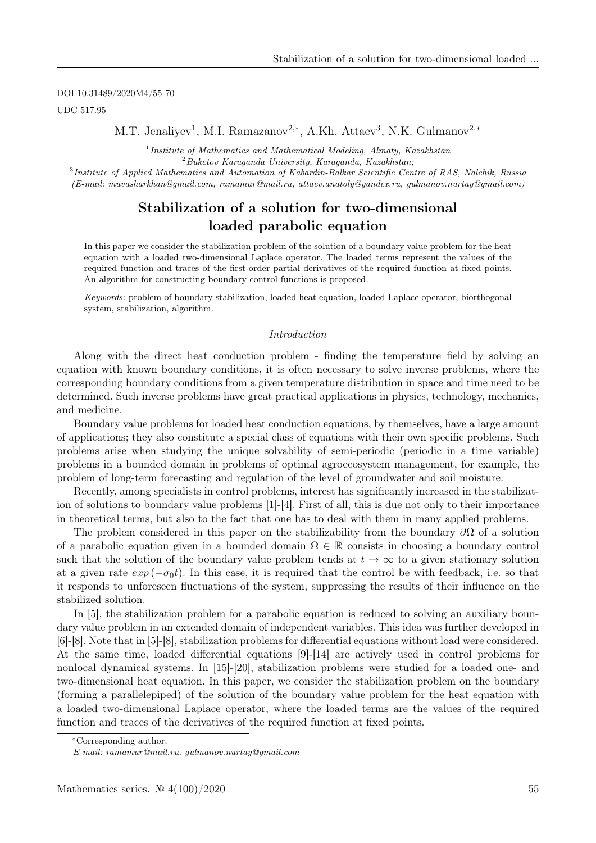DOI 10.31489/2020M4/55-70

UDC 517.95

### M.T. Jenaliyev<sup>1</sup>, M.I. Ramazanov<sup>2,\*</sup>, A.Kh. Attaev<sup>3</sup>, N.K. Gulmanov<sup>2,\*</sup>

<sup>1</sup> Institute of Mathematics and Mathematical Modeling, Almaty, Kazakhstan

 $^{2}B$ uketov Karaganda University, Karaganda, Kazakhstan;

<sup>3</sup> Institute of Applied Mathematics and Automation of Kabardin-Balkar Scientific Centre of RAS, Nalchik, Russia (E-mail: muvasharkhan@gmail.com, ramamur@mail.ru, attaev.anatoly@yandex.ru, gulmanov.nurtay@gmail.com)

# Stabilization of a solution for two-dimensional loaded parabolic equation

In this paper we consider the stabilization problem of the solution of a boundary value problem for the heat equation with a loaded two-dimensional Laplace operator. The loaded terms represent the values of the required function and traces of the first-order partial derivatives of the required function at fixed points. An algorithm for constructing boundary control functions is proposed.

Keywords: problem of boundary stabilization, loaded heat equation, loaded Laplace operator, biorthogonal system, stabilization, algorithm.

#### Introduction

Along with the direct heat conduction problem - finding the temperature field by solving an equation with known boundary conditions, it is often necessary to solve inverse problems, where the corresponding boundary conditions from a given temperature distribution in space and time need to be determined. Such inverse problems have great practical applications in physics, technology, mechanics, and medicine.

Boundary value problems for loaded heat conduction equations, by themselves, have a large amount of applications; they also constitute a special class of equations with their own specific problems. Such problems arise when studying the unique solvability of semi-periodic (periodic in a time variable) problems in a bounded domain in problems of optimal agroecosystem management, for example, the problem of long-term forecasting and regulation of the level of groundwater and soil moisture.

Recently, among specialists in control problems, interest has significantly increased in the stabilization of solutions to boundary value problems [1]-[4]. First of all, this is due not only to their importance in theoretical terms, but also to the fact that one has to deal with them in many applied problems.

The problem considered in this paper on the stabilizability from the boundary  $\partial\Omega$  of a solution of a parabolic equation given in a bounded domain  $\Omega \in \mathbb{R}$  consists in choosing a boundary control such that the solution of the boundary value problem tends at  $t \to \infty$  to a given stationary solution at a given rate  $exp(-\sigma_0 t)$ . In this case, it is required that the control be with feedback, i.e. so that it responds to unforeseen fluctuations of the system, suppressing the results of their influence on the stabilized solution.

In [5], the stabilization problem for a parabolic equation is reduced to solving an auxiliary boundary value problem in an extended domain of independent variables. This idea was further developed in [6]-[8]. Note that in [5]-[8], stabilization problems for differential equations without load were considered. At the same time, loaded differential equations [9]-[14] are actively used in control problems for nonlocal dynamical systems. In [15]-[20], stabilization problems were studied for a loaded one- and two-dimensional heat equation. In this paper, we consider the stabilization problem on the boundary (forming a parallelepiped) of the solution of the boundary value problem for the heat equation with a loaded two-dimensional Laplace operator, where the loaded terms are the values of the required function and traces of the derivatives of the required function at fixed points.

<sup>∗</sup>Corresponding author.

E-mail: ramamur@mail.ru, gulmanov.nurtay@gmail.com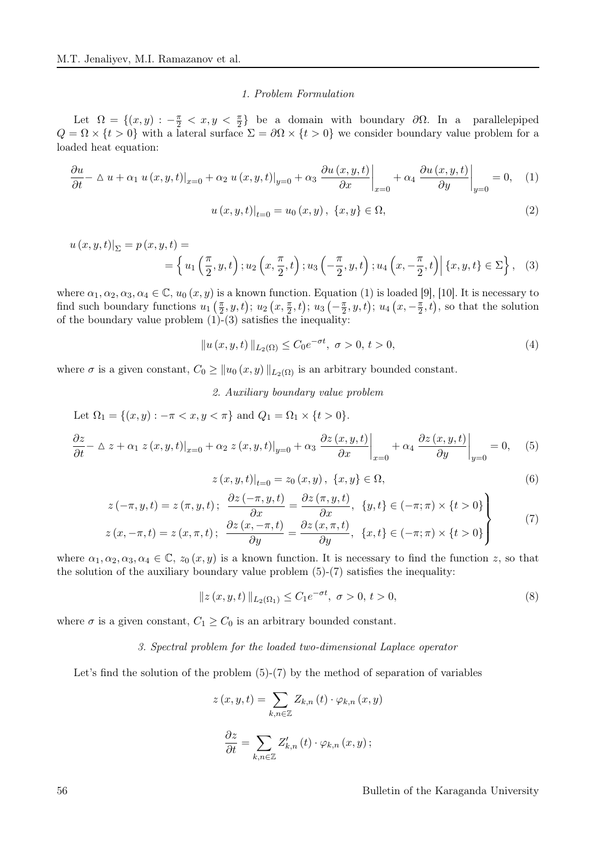#### 1. Problem Formulation

Let  $\Omega = \{(x, y) : -\frac{\pi}{2} < x, y < \frac{\pi}{2}\}\$ be a domain with boundary  $\partial\Omega$ . In a parallelepiped  $Q = \Omega \times \{t > 0\}$  with a lateral surface  $\Sigma = \partial \Omega \times \{t > 0\}$  we consider boundary value problem for a loaded heat equation:

$$
\frac{\partial u}{\partial t} - \Delta u + \alpha_1 u(x, y, t)|_{x=0} + \alpha_2 u(x, y, t)|_{y=0} + \alpha_3 \left. \frac{\partial u(x, y, t)}{\partial x} \right|_{x=0} + \alpha_4 \left. \frac{\partial u(x, y, t)}{\partial y} \right|_{y=0} = 0, \quad (1)
$$

$$
u(x, y, t)|_{t=0} = u_0(x, y), \ \{x, y\} \in \Omega,
$$
\n(2)

$$
u(x, y, t)|_{\Sigma} = p(x, y, t) =
$$
  
= {  $u_1\left(\frac{\pi}{2}, y, t\right); u_2\left(x, \frac{\pi}{2}, t\right); u_3\left(-\frac{\pi}{2}, y, t\right); u_4\left(x, -\frac{\pi}{2}, t\right) | \{x, y, t\} \in \Sigma \},$  (3)

where  $\alpha_1, \alpha_2, \alpha_3, \alpha_4 \in \mathbb{C}$ ,  $u_0(x, y)$  is a known function. Equation (1) is loaded [9], [10]. It is necessary to find such boundary functions  $u_1\left(\frac{\pi}{2}\right)$  $(\frac{\pi}{2},y,t); u_2(x,\frac{\pi}{2},t); u_3(-\frac{\pi}{2})$  $(\frac{\pi}{2}, y, t); u_4(x, -\frac{\pi}{2})$  $(\frac{\pi}{2}, t)$ , so that the solution of the boundary value problem (1)-(3) satisfies the inequality:

$$
||u(x, y, t)||_{L_2(\Omega)} \le C_0 e^{-\sigma t}, \ \sigma > 0, \ t > 0,
$$
\n(4)

where  $\sigma$  is a given constant,  $C_0 \geq ||u_0(x, y)||_{L_2(\Omega)}$  is an arbitrary bounded constant.

2. Auxiliary boundary value problem

Let 
$$
\Omega_1 = \{(x, y) : -\pi < x, y < \pi\}
$$
 and  $Q_1 = \Omega_1 \times \{t > 0\}$ .  
\n
$$
\frac{\partial z}{\partial t} - \Delta z + \alpha_1 z(x, y, t)|_{x=0} + \alpha_2 z(x, y, t)|_{y=0} + \alpha_3 \left. \frac{\partial z(x, y, t)}{\partial x} \right|_{x=0} + \alpha_4 \left. \frac{\partial z(x, y, t)}{\partial y} \right|_{y=0} = 0, \quad (5)
$$

$$
z(x, y, t)|_{t=0} = z_0(x, y), \ \{x, y\} \in \Omega,
$$
\n<sup>(6)</sup>

$$
z(-\pi, y, t) = z(\pi, y, t); \quad \frac{\partial z(-\pi, y, t)}{\partial x} = \frac{\partial z(\pi, y, t)}{\partial x}, \quad \{y, t\} \in (-\pi; \pi) \times \{t > 0\} z(x, -\pi, t) = z(x, \pi, t); \quad \frac{\partial z(x, -\pi, t)}{\partial y} = \frac{\partial z(x, \pi, t)}{\partial y}, \quad \{x, t\} \in (-\pi; \pi) \times \{t > 0\}
$$
 (7)

where  $\alpha_1, \alpha_2, \alpha_3, \alpha_4 \in \mathbb{C}$ ,  $z_0(x, y)$  is a known function. It is necessary to find the function z, so that the solution of the auxiliary boundary value problem  $(5)-(7)$  satisfies the inequality:

$$
||z(x, y, t)||_{L_2(\Omega_1)} \le C_1 e^{-\sigma t}, \ \sigma > 0, \ t > 0,
$$
\n(8)

where  $\sigma$  is a given constant,  $C_1 \geq C_0$  is an arbitrary bounded constant.

#### 3. Spectral problem for the loaded two-dimensional Laplace operator

Let's find the solution of the problem  $(5)-(7)$  by the method of separation of variables

$$
z(x, y, t) = \sum_{k,n \in \mathbb{Z}} Z_{k,n}(t) \cdot \varphi_{k,n}(x, y)
$$

$$
\frac{\partial z}{\partial t} = \sum_{k,n \in \mathbb{Z}} Z'_{k,n}(t) \cdot \varphi_{k,n}(x, y);
$$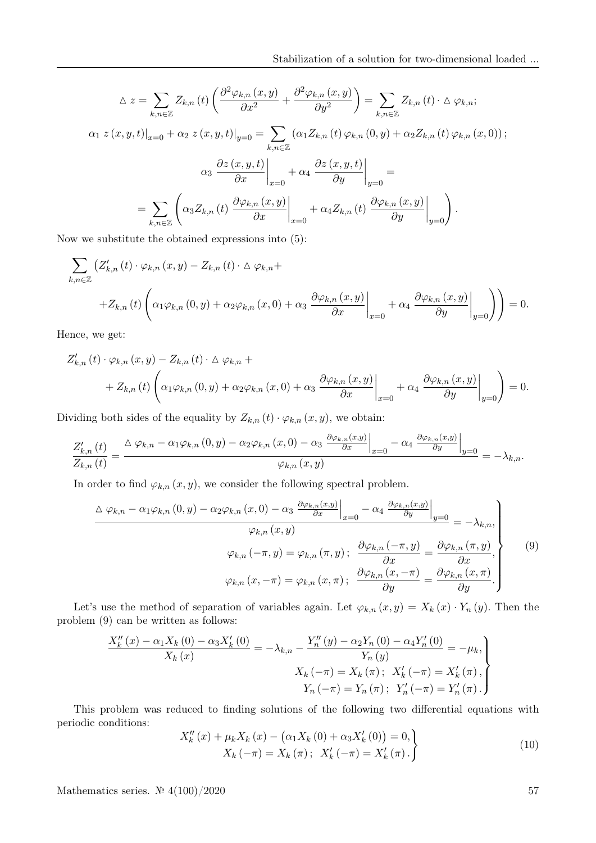$$
\Delta z = \sum_{k,n\in\mathbb{Z}} Z_{k,n}(t) \left( \frac{\partial^2 \varphi_{k,n}(x,y)}{\partial x^2} + \frac{\partial^2 \varphi_{k,n}(x,y)}{\partial y^2} \right) = \sum_{k,n\in\mathbb{Z}} Z_{k,n}(t) \cdot \Delta \varphi_{k,n};
$$
  
\n
$$
\alpha_1 z(x,y,t)|_{x=0} + \alpha_2 z(x,y,t)|_{y=0} = \sum_{k,n\in\mathbb{Z}} (\alpha_1 Z_{k,n}(t) \varphi_{k,n}(0,y) + \alpha_2 Z_{k,n}(t) \varphi_{k,n}(x,0));
$$
  
\n
$$
\alpha_3 \left. \frac{\partial z(x,y,t)}{\partial x} \right|_{x=0} + \alpha_4 \left. \frac{\partial z(x,y,t)}{\partial y} \right|_{y=0} =
$$
  
\n
$$
= \sum_{k,n\in\mathbb{Z}} \left( \alpha_3 Z_{k,n}(t) \left. \frac{\partial \varphi_{k,n}(x,y)}{\partial x} \right|_{x=0} + \alpha_4 Z_{k,n}(t) \left. \frac{\partial \varphi_{k,n}(x,y)}{\partial y} \right|_{y=0} \right).
$$

Now we substitute the obtained expressions into (5):

$$
\sum_{k,n\in\mathbb{Z}} \left( Z'_{k,n}(t) \cdot \varphi_{k,n}(x,y) - Z_{k,n}(t) \cdot \Delta \varphi_{k,n} + Z_{k,n}(t) \left( \alpha_1 \varphi_{k,n}(0,y) + \alpha_2 \varphi_{k,n}(x,0) + \alpha_3 \frac{\partial \varphi_{k,n}(x,y)}{\partial x} \bigg|_{x=0} + \alpha_4 \frac{\partial \varphi_{k,n}(x,y)}{\partial y} \bigg|_{y=0} \right) \right) = 0.
$$

Hence, we get:

$$
Z'_{k,n}(t) \cdot \varphi_{k,n}(x,y) - Z_{k,n}(t) \cdot \Delta \varphi_{k,n} +
$$
  
+ 
$$
Z_{k,n}(t) \left( \alpha_1 \varphi_{k,n}(0,y) + \alpha_2 \varphi_{k,n}(x,0) + \alpha_3 \frac{\partial \varphi_{k,n}(x,y)}{\partial x} \bigg|_{x=0} + \alpha_4 \frac{\partial \varphi_{k,n}(x,y)}{\partial y} \bigg|_{y=0} \right) = 0.
$$

Dividing both sides of the equality by  $Z_{k,n}(t) \cdot \varphi_{k,n}(x, y)$ , we obtain:

$$
\frac{Z'_{k,n}(t)}{Z_{k,n}(t)} = \frac{\Delta \varphi_{k,n} - \alpha_1 \varphi_{k,n}(0,y) - \alpha_2 \varphi_{k,n}(x,0) - \alpha_3 \left. \frac{\partial \varphi_{k,n}(x,y)}{\partial x} \right|_{x=0} - \alpha_4 \left. \frac{\partial \varphi_{k,n}(x,y)}{\partial y} \right|_{y=0}}{\varphi_{k,n}(x,y)} = -\lambda_{k,n}.
$$

In order to find  $\varphi_{k,n}(x, y)$ , we consider the following spectral problem.

$$
\frac{\Delta \varphi_{k,n} - \alpha_1 \varphi_{k,n} (0, y) - \alpha_2 \varphi_{k,n} (x, 0) - \alpha_3 \left. \frac{\partial \varphi_{k,n} (x, y)}{\partial x} \right|_{x=0} - \alpha_4 \left. \frac{\partial \varphi_{k,n} (x, y)}{\partial y} \right|_{y=0}}{\varphi_{k,n} (x, y)} = -\lambda_{k,n},
$$
\n
$$
\varphi_{k,n} (-\pi, y) = \varphi_{k,n} (\pi, y); \quad \frac{\partial \varphi_{k,n} (-\pi, y)}{\partial x} = \frac{\partial \varphi_{k,n} (\pi, y)}{\partial x},
$$
\n
$$
\varphi_{k,n} (x, -\pi) = \varphi_{k,n} (x, \pi); \quad \frac{\partial \varphi_{k,n} (x, -\pi)}{\partial y} = \frac{\partial \varphi_{k,n} (x, \pi)}{\partial y}.
$$
\n(9)

Let's use the method of separation of variables again. Let  $\varphi_{k,n}(x,y) = X_k(x) \cdot Y_n(y)$ . Then the problem (9) can be written as follows:

$$
\frac{X_{k}''(x) - \alpha_{1}X_{k}(0) - \alpha_{3}X_{k}'(0)}{X_{k}(x)} = -\lambda_{k,n} - \frac{Y_{n}''(y) - \alpha_{2}Y_{n}(0) - \alpha_{4}Y_{n}'(0)}{Y_{n}(y)} = -\mu_{k},
$$
\n
$$
X_{k}(-\pi) = X_{k}(\pi); \quad X_{k}'(-\pi) = X_{k}'(\pi),
$$
\n
$$
Y_{n}(-\pi) = Y_{n}(\pi); \quad Y_{n}'(-\pi) = Y_{n}'(\pi).
$$

This problem was reduced to finding solutions of the following two differential equations with periodic conditions:

$$
X_{k}''(x) + \mu_{k} X_{k}(x) - (\alpha_{1} X_{k}(0) + \alpha_{3} X_{k}'(0)) = 0,X_{k}(-\pi) = X_{k}(\pi); X_{k}'(-\pi) = X_{k}'(\pi).
$$
\n(10)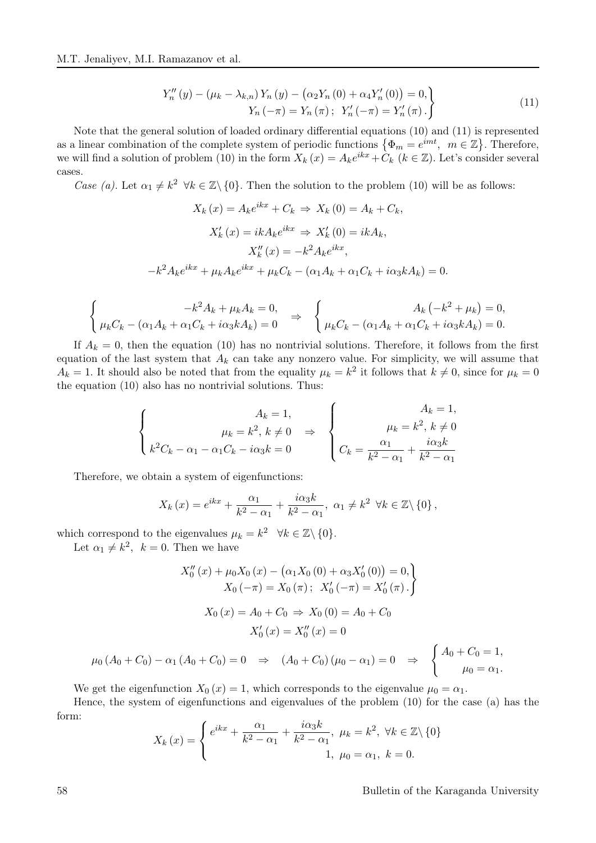$$
Y_{n}''(y) - (\mu_{k} - \lambda_{k,n}) Y_{n}(y) - (\alpha_{2} Y_{n}(0) + \alpha_{4} Y_{n}'(0)) = 0,
$$
  

$$
Y_{n}(-\pi) = Y_{n}(\pi); Y_{n}'(-\pi) = Y_{n}'(\pi).
$$
 (11)

Note that the general solution of loaded ordinary differential equations (10) and (11) is represented as a linear combination of the complete system of periodic functions  $\{\Phi_m = e^{imt}, m \in \mathbb{Z}\}\.$  Therefore, we will find a solution of problem (10) in the form  $X_k(x) = A_k e^{ikx} + C_k$   $(k \in \mathbb{Z})$ . Let's consider several cases.

Case (a). Let  $\alpha_1 \neq k^2 \ \forall k \in \mathbb{Z} \setminus \{0\}$ . Then the solution to the problem (10) will be as follows:

$$
X_k(x) = A_k e^{ikx} + C_k \Rightarrow X_k(0) = A_k + C_k,
$$
  
\n
$$
X'_k(x) = ikA_k e^{ikx} \Rightarrow X'_k(0) = ikA_k,
$$
  
\n
$$
X''_k(x) = -k^2 A_k e^{ikx},
$$
  
\n
$$
-k^2 A_k e^{ikx} + \mu_k A_k e^{ikx} + \mu_k C_k - (\alpha_1 A_k + \alpha_1 C_k + i \alpha_3 k A_k) = 0.
$$

$$
\begin{cases}\n-k^2 A_k + \mu_k A_k = 0, \\
\mu_k C_k - (\alpha_1 A_k + \alpha_1 C_k + i \alpha_3 k A_k) = 0\n\end{cases}\n\Rightarrow\n\begin{cases}\nA_k \left(-k^2 + \mu_k\right) = 0, \\
\mu_k C_k - (\alpha_1 A_k + \alpha_1 C_k + i \alpha_3 k A_k) = 0.\n\end{cases}
$$

If  $A_k = 0$ , then the equation (10) has no nontrivial solutions. Therefore, it follows from the first equation of the last system that  $A_k$  can take any nonzero value. For simplicity, we will assume that  $A_k = 1$ . It should also be noted that from the equality  $\mu_k = k^2$  it follows that  $k \neq 0$ , since for  $\mu_k = 0$ the equation (10) also has no nontrivial solutions. Thus:

$$
\begin{cases}\nA_k = 1, \\
\mu_k = k^2, k \neq 0 \Rightarrow\n\end{cases}\n\begin{cases}\nA_k = 1, \\
\mu_k = k^2, k \neq 0 \\
C_k = \frac{\alpha_1}{k^2 - \alpha_1} + \frac{i\alpha_3 k}{k^2 - \alpha_1}\n\end{cases}
$$

Therefore, we obtain a system of eigenfunctions:

$$
X_k(x) = e^{ikx} + \frac{\alpha_1}{k^2 - \alpha_1} + \frac{i\alpha_3 k}{k^2 - \alpha_1}, \ \alpha_1 \neq k^2 \ \forall k \in \mathbb{Z} \setminus \{0\},
$$

which correspond to the eigenvalues  $\mu_k = k^2 \quad \forall k \in \mathbb{Z} \setminus \{0\}.$ 

Let  $\alpha_1 \neq k^2$ ,  $k = 0$ . Then we have

$$
X_0''(x) + \mu_0 X_0(x) - (\alpha_1 X_0(0) + \alpha_3 X_0'(0)) = 0,
$$
  
\n
$$
X_0(-\pi) = X_0(\pi); X_0'(-\pi) = X_0'(\pi).
$$
  
\n
$$
X_0(x) = A_0 + C_0 \Rightarrow X_0(0) = A_0 + C_0
$$
  
\n
$$
X_0'(x) = X_0''(x) = 0
$$
  
\n
$$
\mu_0 (A_0 + C_0) - \alpha_1 (A_0 + C_0) = 0 \Rightarrow (A_0 + C_0)(\mu_0 - \alpha_1) = 0 \Rightarrow \begin{cases} A_0 + C_0 = 1, \\ \mu_0 = \alpha_1. \end{cases}
$$

We get the eigenfunction  $X_0(x) = 1$ , which corresponds to the eigenvalue  $\mu_0 = \alpha_1$ .

Hence, the system of eigenfunctions and eigenvalues of the problem (10) for the case (a) has the form:

$$
X_{k}(x) = \begin{cases} e^{ikx} + \frac{\alpha_{1}}{k^{2} - \alpha_{1}} + \frac{i\alpha_{3}k}{k^{2} - \alpha_{1}}, \ \mu_{k} = k^{2}, \ \forall k \in \mathbb{Z} \setminus \{0\} \\ 1, \ \mu_{0} = \alpha_{1}, \ k = 0. \end{cases}
$$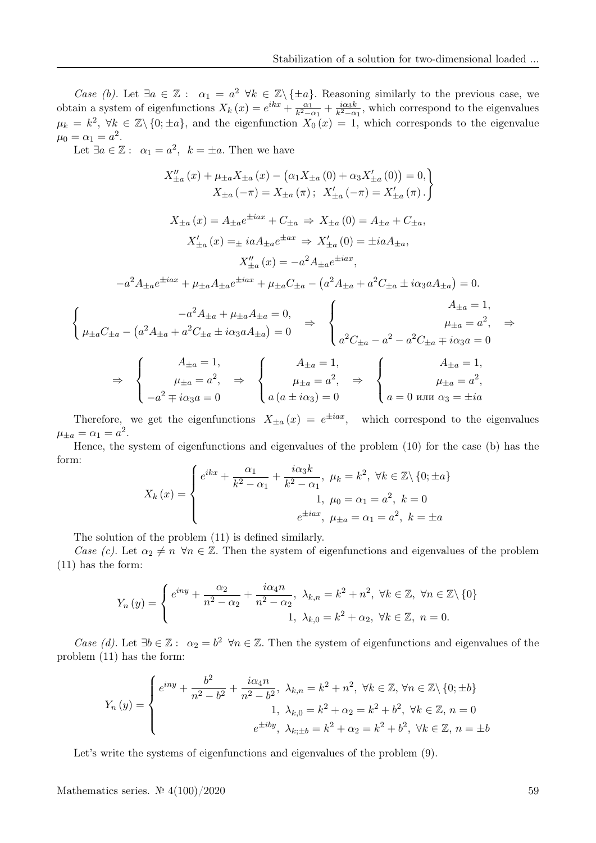Case (b). Let  $\exists a \in \mathbb{Z} : \alpha_1 = a^2 \ \forall k \in \mathbb{Z} \setminus \{\pm a\}.$  Reasoning similarly to the previous case, we obtain a system of eigenfunctions  $X_k(x) = e^{ikx} + \frac{\alpha_1}{k^2 - \alpha_1} + \frac{i\alpha_3 k}{k^2 - \alpha_1}$ , which correspond to the eigenvalues  $\mu_k = k^2$ ,  $\forall k \in \mathbb{Z} \setminus \{0; \pm a\}$ , and the eigenfunction  $X_0(x) = 1$ , which corresponds to the eigenvalue  $\mu_0 = \alpha_1 = a^2.$ 

Let  $\exists a \in \mathbb{Z}: \ \alpha_1 = a^2, \ \ k = \pm a$ . Then we have

 $\sqrt{ }$ 

$$
X_{\pm a}''(x) + \mu_{\pm a} X_{\pm a}(x) - (\alpha_1 X_{\pm a}(0) + \alpha_3 X_{\pm a}'(0)) = 0,
$$
  
\n
$$
X_{\pm a}(-\pi) = X_{\pm a}(\pi); X_{\pm a}'(-\pi) = X_{\pm a}'(\pi).
$$
  
\n
$$
X_{\pm a}(x) = A_{\pm a}e^{\pm iax} + C_{\pm a} \Rightarrow X_{\pm a}(0) = A_{\pm a} + C_{\pm a},
$$
  
\n
$$
X_{\pm a}'(x) = \pm ia A_{\pm a}e^{\pm a x} \Rightarrow X_{\pm a}'(0) = \pm ia A_{\pm a},
$$
  
\n
$$
X_{\pm a}''(x) = -a^2 A_{\pm a}e^{\pm iax},
$$
  
\n
$$
-a^2 A_{\pm a}e^{\pm iax} + \mu_{\pm a} A_{\pm a}e^{\pm iax} + \mu_{\pm a} C_{\pm a} - (a^2 A_{\pm a} + a^2 C_{\pm a} \pm i\alpha_3 a A_{\pm a}) = 0.
$$
  
\n
$$
-a^2 A_{\pm a} + \mu_{\pm a} A_{\pm a} = 0, \Rightarrow \begin{cases} A_{\pm a} = 1, \\ a^2 C_{\pm a} - a^2 - a^2 C_{\pm a} \mp i\alpha_3 a = 0 \end{cases}
$$
  
\n
$$
\Rightarrow \begin{cases} A_{\pm a} = 1, \\ \mu_{\pm a} = a^2, \\ -a^2 \mp i\alpha_3 a = 0 \end{cases} \Rightarrow \begin{cases} A_{\pm a} = 1, \\ a_{\pm a} = a^2, \\ a_{\pm a} = a^2, \\ a_{\pm a} = a^2, \\ a_{\pm a} = a^2, \end{cases} \Rightarrow \begin{cases} A_{\pm a} = 1, \\ \mu_{\pm a} = a^2, \\ a = 0 \text{ min } a_3 = \pm ia \end{cases}
$$

Therefore, we get the eigenfunctions  $X_{\pm a}(x) = e^{\pm iax}$ , which correspond to the eigenvalues  $\mu_{\pm a} = \alpha_1 = a^2.$ 

Hence, the system of eigenfunctions and eigenvalues of the problem (10) for the case (b) has the form:

$$
X_{k}(x) = \begin{cases} e^{ikx} + \frac{\alpha_{1}}{k^{2} - \alpha_{1}} + \frac{i\alpha_{3}k}{k^{2} - \alpha_{1}}, \ \mu_{k} = k^{2}, \ \forall k \in \mathbb{Z} \setminus \{0; \pm a\} \\ 1, \ \mu_{0} = \alpha_{1} = a^{2}, \ k = 0 \\ e^{\pm iax}, \ \mu_{\pm a} = \alpha_{1} = a^{2}, \ k = \pm a \end{cases}
$$

The solution of the problem (11) is defined similarly.

Case (c). Let  $\alpha_2 \neq n \ \forall n \in \mathbb{Z}$ . Then the system of eigenfunctions and eigenvalues of the problem (11) has the form:

$$
Y_n(y) = \begin{cases} e^{iny} + \frac{\alpha_2}{n^2 - \alpha_2} + \frac{i\alpha_4 n}{n^2 - \alpha_2}, & \lambda_{k,n} = k^2 + n^2, \ \forall k \in \mathbb{Z}, \ \forall n \in \mathbb{Z} \setminus \{0\} \\ 1, & \lambda_{k,0} = k^2 + \alpha_2, \ \forall k \in \mathbb{Z}, \ n = 0. \end{cases}
$$

Case (d). Let  $\exists b \in \mathbb{Z} : \ \alpha_2 = b^2 \ \forall n \in \mathbb{Z}$ . Then the system of eigenfunctions and eigenvalues of the problem (11) has the form:

$$
Y_n(y) = \begin{cases} e^{iny} + \frac{b^2}{n^2 - b^2} + \frac{i\alpha_4 n}{n^2 - b^2}, & \lambda_{k,n} = k^2 + n^2, \ \forall k \in \mathbb{Z}, \forall n \in \mathbb{Z} \setminus \{0; \pm b\} \\ 1, & \lambda_{k,0} = k^2 + \alpha_2 = k^2 + b^2, \ \forall k \in \mathbb{Z}, \ n = 0 \\ e^{\pm iby}, & \lambda_{k;\pm b} = k^2 + \alpha_2 = k^2 + b^2, \ \forall k \in \mathbb{Z}, \ n = \pm b \end{cases}
$$

Let's write the systems of eigenfunctions and eigenvalues of the problem  $(9)$ .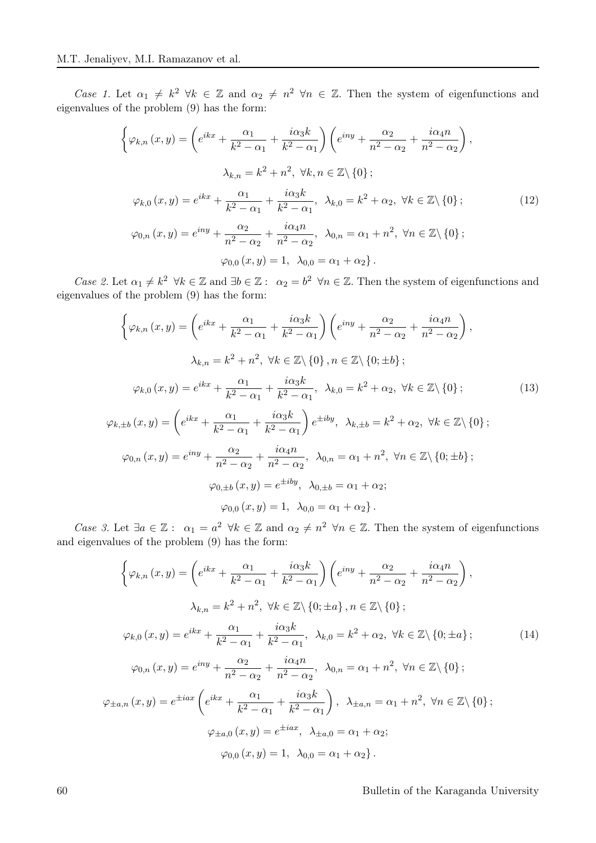Case 1. Let  $\alpha_1 \neq k^2 \ \forall k \in \mathbb{Z}$  and  $\alpha_2 \neq n^2 \ \forall n \in \mathbb{Z}$ . Then the system of eigenfunctions and eigenvalues of the problem (9) has the form:

$$
\left\{\varphi_{k,n}(x,y) = \left(e^{ikx} + \frac{\alpha_1}{k^2 - \alpha_1} + \frac{i\alpha_3 k}{k^2 - \alpha_1}\right) \left(e^{iny} + \frac{\alpha_2}{n^2 - \alpha_2} + \frac{i\alpha_4 n}{n^2 - \alpha_2}\right),\right\}
$$
\n
$$
\lambda_{k,n} = k^2 + n^2, \ \forall k, n \in \mathbb{Z} \setminus \{0\};
$$
\n
$$
\varphi_{k,0}(x,y) = e^{ikx} + \frac{\alpha_1}{k^2 - \alpha_1} + \frac{i\alpha_3 k}{k^2 - \alpha_1}, \ \lambda_{k,0} = k^2 + \alpha_2, \ \forall k \in \mathbb{Z} \setminus \{0\};
$$
\n
$$
\varphi_{0,n}(x,y) = e^{iny} + \frac{\alpha_2}{n^2 - \alpha_2} + \frac{i\alpha_4 n}{n^2 - \alpha_2}, \ \lambda_{0,n} = \alpha_1 + n^2, \ \forall n \in \mathbb{Z} \setminus \{0\};
$$
\n
$$
\varphi_{0,0}(x,y) = 1, \ \lambda_{0,0} = \alpha_1 + \alpha_2\}.
$$
\n(12)

Case 2. Let  $\alpha_1 \neq k^2 \ \forall k \in \mathbb{Z}$  and  $\exists b \in \mathbb{Z} : \ \alpha_2 = b^2 \ \forall n \in \mathbb{Z}$ . Then the system of eigenfunctions and eigenvalues of the problem (9) has the form:

$$
\begin{aligned}\n\left\{\varphi_{k,n}\left(x,y\right) = \left(e^{ikx} + \frac{\alpha_1}{k^2 - \alpha_1} + \frac{i\alpha_3 k}{k^2 - \alpha_1}\right) \left(e^{iny} + \frac{\alpha_2}{n^2 - \alpha_2} + \frac{i\alpha_4 n}{n^2 - \alpha_2}\right), \\
\lambda_{k,n} = k^2 + n^2, \ \forall k \in \mathbb{Z} \setminus \{0\}, n \in \mathbb{Z} \setminus \{0; \pm b\}; \\
\varphi_{k,0}\left(x,y\right) = e^{ikx} + \frac{\alpha_1}{k^2 - \alpha_1} + \frac{i\alpha_3 k}{k^2 - \alpha_1}, \ \lambda_{k,0} = k^2 + \alpha_2, \ \forall k \in \mathbb{Z} \setminus \{0\}; \\
\varphi_{k,\pm b}\left(x,y\right) = \left(e^{ikx} + \frac{\alpha_1}{k^2 - \alpha_1} + \frac{i\alpha_3 k}{k^2 - \alpha_1}\right) e^{\pm iby}, \ \lambda_{k,\pm b} = k^2 + \alpha_2, \ \forall k \in \mathbb{Z} \setminus \{0\}; \\
\varphi_{0,n}\left(x,y\right) = e^{iny} + \frac{\alpha_2}{n^2 - \alpha_2} + \frac{i\alpha_4 n}{n^2 - \alpha_2}, \ \lambda_{0,n} = \alpha_1 + n^2, \ \forall n \in \mathbb{Z} \setminus \{0; \pm b\}; \\
\varphi_{0,\pm b}\left(x,y\right) = e^{\pm iby}, \ \lambda_{0,\pm b} = \alpha_1 + \alpha_2; \\
\varphi_{0,0}\left(x,y\right) = 1, \ \lambda_{0,0} = \alpha_1 + \alpha_2.\n\end{aligned}
$$
\n(13)

Case 3. Let  $\exists a \in \mathbb{Z} : \ \alpha_1 = a^2 \ \forall k \in \mathbb{Z}$  and  $\alpha_2 \neq n^2 \ \forall n \in \mathbb{Z}$ . Then the system of eigenfunctions and eigenvalues of the problem (9) has the form:

$$
\begin{aligned}\n\left\{\varphi_{k,n}\left(x,y\right) = \left(e^{ikx} + \frac{\alpha_1}{k^2 - \alpha_1} + \frac{i\alpha_3 k}{k^2 - \alpha_1}\right) \left(e^{iny} + \frac{\alpha_2}{n^2 - \alpha_2} + \frac{i\alpha_4 n}{n^2 - \alpha_2}\right), \\
\lambda_{k,n} = k^2 + n^2, \ \forall k \in \mathbb{Z} \setminus \{0; \pm a\}, n \in \mathbb{Z} \setminus \{0\};\n\end{aligned}
$$
\n
$$
\varphi_{k,0}\left(x,y\right) = e^{ikx} + \frac{\alpha_1}{k^2 - \alpha_1} + \frac{i\alpha_3 k}{k^2 - \alpha_1}, \ \lambda_{k,0} = k^2 + \alpha_2, \ \forall k \in \mathbb{Z} \setminus \{0; \pm a\};\n\tag{14}
$$
\n
$$
\varphi_{0,n}\left(x,y\right) = e^{iny} + \frac{\alpha_2}{n^2 - \alpha_2} + \frac{i\alpha_4 n}{n^2 - \alpha_2}, \ \lambda_{0,n} = \alpha_1 + n^2, \ \forall n \in \mathbb{Z} \setminus \{0\};\n\end{aligned}
$$
\n
$$
\varphi_{\pm a,n}\left(x,y\right) = e^{\pm iax} \left(e^{ikx} + \frac{\alpha_1}{k^2 - \alpha_1} + \frac{i\alpha_3 k}{k^2 - \alpha_1}\right), \ \lambda_{\pm a,n} = \alpha_1 + n^2, \ \forall n \in \mathbb{Z} \setminus \{0\};\n\end{aligned}
$$
\n
$$
\varphi_{\pm a,0}\left(x,y\right) = e^{\pm iax}, \ \lambda_{\pm a,0} = \alpha_1 + \alpha_2;
$$
\n
$$
\varphi_{0,0}\left(x,y\right) = 1, \ \lambda_{0,0} = \alpha_1 + \alpha_2.
$$

60 Bulletin of the Karaganda University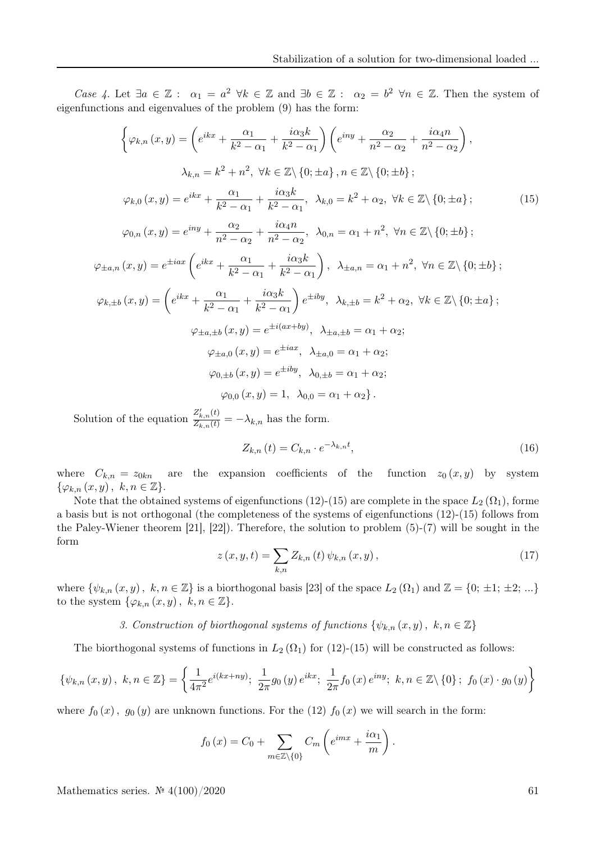Case 4. Let  $\exists a \in \mathbb{Z} : \alpha_1 = a^2 \ \forall k \in \mathbb{Z}$  and  $\exists b \in \mathbb{Z} : \alpha_2 = b^2 \ \forall n \in \mathbb{Z}$ . Then the system of eigenfunctions and eigenvalues of the problem (9) has the form:

$$
\begin{cases}\n\varphi_{k,n}(x,y) = \left(e^{ikx} + \frac{\alpha_1}{k^2 - \alpha_1} + \frac{i\alpha_3 k}{k^2 - \alpha_1}\right)\left(e^{iny} + \frac{\alpha_2}{n^2 - \alpha_2} + \frac{i\alpha_4 n}{n^2 - \alpha_2}\right), \\
\lambda_{k,n} = k^2 + n^2, \forall k \in \mathbb{Z} \setminus \{0; \pm a\}, n \in \mathbb{Z} \setminus \{0; \pm b\}; \\
\varphi_{k,0}(x,y) = e^{ikx} + \frac{\alpha_1}{k^2 - \alpha_1} + \frac{i\alpha_3 k}{k^2 - \alpha_1}, \quad \lambda_{k,0} = k^2 + \alpha_2, \quad \forall k \in \mathbb{Z} \setminus \{0; \pm a\}; \\
\varphi_{0,n}(x,y) = e^{iny} + \frac{\alpha_2}{n^2 - \alpha_2} + \frac{i\alpha_4 n}{n^2 - \alpha_2}, \quad \lambda_{0,n} = \alpha_1 + n^2, \quad \forall n \in \mathbb{Z} \setminus \{0; \pm b\}; \\
\varphi_{\pm a,n}(x,y) = e^{\pm iax} \left(e^{ikx} + \frac{\alpha_1}{k^2 - \alpha_1} + \frac{i\alpha_3 k}{k^2 - \alpha_1}\right), \quad \lambda_{\pm a,n} = \alpha_1 + n^2, \quad \forall n \in \mathbb{Z} \setminus \{0; \pm b\}; \\
\varphi_{k,\pm b}(x,y) = \left(e^{ikx} + \frac{\alpha_1}{k^2 - \alpha_1} + \frac{i\alpha_3 k}{k^2 - \alpha_1}\right)e^{\pm iby}, \quad \lambda_{k,\pm b} = k^2 + \alpha_2, \quad \forall k \in \mathbb{Z} \setminus \{0; \pm a\}; \\
\varphi_{\pm a,\pm b}(x,y) = e^{\pm i(a x + by)}, \quad \lambda_{\pm a,\pm b} = \alpha_1 + \alpha_2; \\
\varphi_{\pm a,0}(x,y) = e^{\pm iax}, \quad \lambda_{\pm a,0} = \alpha_1 + \alpha_2; \\
\varphi_{0,\pm b}(x,y) = e^{\pm iby}, \quad \lambda_{0,\pm b} = \alpha_1 + \alpha_2; \\
\varphi_{0,0}(x,y) = 1, \quad \lambda_{0,0} = \alpha_1 + \alpha_2.\n\end{cases}
$$

Solution of the equation  $\frac{Z'_{k,n}(t)}{Z_{k,n}(t)} = -\lambda_{k,n}$  has the form.

$$
Z_{k,n}(t) = C_{k,n} \cdot e^{-\lambda_{k,n}t},\tag{16}
$$

where  $C_{k,n} = z_{0kn}$  are the expansion coefficients of the function  $z_0(x, y)$  by system  $\{\varphi_{k,n}(x,y), k,n \in \mathbb{Z}\}.$ 

Note that the obtained systems of eigenfunctions (12)-(15) are complete in the space  $L_2(\Omega_1)$ , forme a basis but is not orthogonal (the completeness of the systems of eigenfunctions (12)-(15) follows from the Paley-Wiener theorem [21], [22]). Therefore, the solution to problem (5)-(7) will be sought in the form

$$
z(x, y, t) = \sum_{k,n} Z_{k,n}(t) \psi_{k,n}(x, y),
$$
\n(17)

where  $\{\psi_{k,n}(x,y), k, n \in \mathbb{Z}\}\$ is a biorthogonal basis [23] of the space  $L_2(\Omega_1)$  and  $\mathbb{Z} = \{0; \pm 1; \pm 2; ...\}$ to the system  $\{\varphi_{k,n}(x,y), k,n \in \mathbb{Z}\}.$ 

3. Construction of biorthogonal systems of functions  $\{\psi_{k,n}(x,y), k, n \in \mathbb{Z}\}\$ 

The biorthogonal systems of functions in  $L_2(\Omega_1)$  for (12)-(15) will be constructed as follows:

$$
\{\psi_{k,n}(x,y), k, n \in \mathbb{Z}\} = \left\{\frac{1}{4\pi^2}e^{i(kx+ny)}; \ \frac{1}{2\pi}g_0(y)e^{ikx}; \ \frac{1}{2\pi}f_0(x)e^{iny}; k, n \in \mathbb{Z}\setminus\{0\}; f_0(x) \cdot g_0(y)\right\}
$$

where  $f_0(x)$ ,  $g_0(y)$  are unknown functions. For the (12)  $f_0(x)$  we will search in the form:

$$
f_0(x) = C_0 + \sum_{m \in \mathbb{Z} \setminus \{0\}} C_m \left( e^{imx} + \frac{i\alpha_1}{m} \right).
$$

Mathematics series.  $\mathcal{N} \cdot 4(100)/2020$  61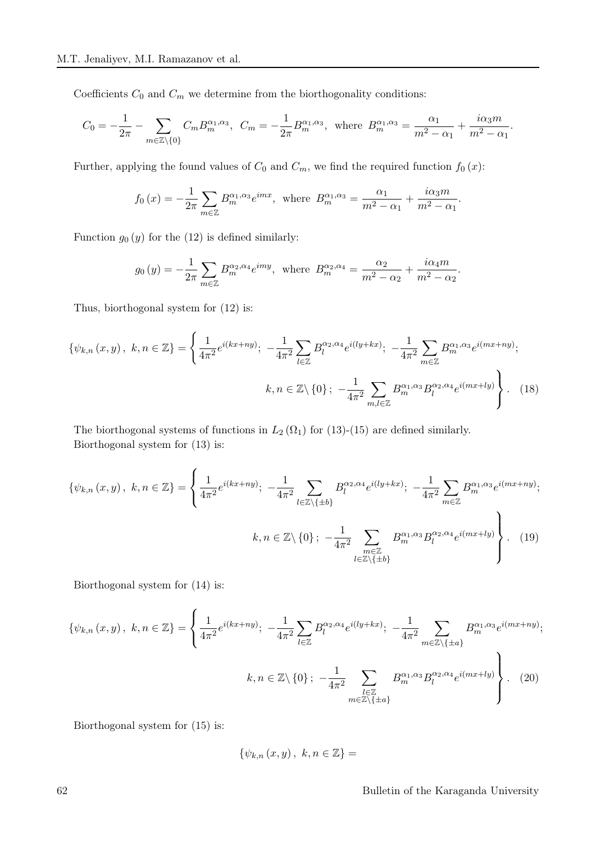Coefficients  $C_0$  and  $C_m$  we determine from the biorthogonality conditions:

$$
C_0 = -\frac{1}{2\pi} - \sum_{m \in \mathbb{Z} \setminus \{0\}} C_m B_m^{\alpha_1, \alpha_3}, \quad C_m = -\frac{1}{2\pi} B_m^{\alpha_1, \alpha_3}, \quad \text{where} \quad B_m^{\alpha_1, \alpha_3} = \frac{\alpha_1}{m^2 - \alpha_1} + \frac{i\alpha_3 m}{m^2 - \alpha_1}.
$$

Further, applying the found values of  $C_0$  and  $C_m$ , we find the required function  $f_0(x)$ :

$$
f_0(x) = -\frac{1}{2\pi} \sum_{m \in \mathbb{Z}} B_m^{\alpha_1, \alpha_3} e^{imx}
$$
, where  $B_m^{\alpha_1, \alpha_3} = \frac{\alpha_1}{m^2 - \alpha_1} + \frac{i\alpha_3 m}{m^2 - \alpha_1}$ .

Function  $g_0(y)$  for the (12) is defined similarly:

$$
g_0(y) = -\frac{1}{2\pi} \sum_{m \in \mathbb{Z}} B_m^{\alpha_2, \alpha_4} e^{imy}, \text{ where } B_m^{\alpha_2, \alpha_4} = \frac{\alpha_2}{m^2 - \alpha_2} + \frac{i\alpha_4 m}{m^2 - \alpha_2}.
$$

Thus, biorthogonal system for (12) is:

$$
\{\psi_{k,n}(x,y), k, n \in \mathbb{Z}\} = \left\{\frac{1}{4\pi^2} e^{i(kx+ny)}; -\frac{1}{4\pi^2} \sum_{l \in \mathbb{Z}} B_l^{\alpha_2, \alpha_4} e^{i(ly+ky)}; -\frac{1}{4\pi^2} \sum_{m \in \mathbb{Z}} B_m^{\alpha_1, \alpha_3} e^{i(mx+ny)}; \right\}
$$
\n
$$
k, n \in \mathbb{Z} \setminus \{0\} ; -\frac{1}{4\pi^2} \sum_{m,l \in \mathbb{Z}} B_m^{\alpha_1, \alpha_3} B_l^{\alpha_2, \alpha_4} e^{i(mx+ly)} \right\}.
$$
\n(18)

The biorthogonal systems of functions in  $L_2(\Omega_1)$  for (13)-(15) are defined similarly. Biorthogonal system for (13) is:

$$
\{\psi_{k,n}(x,y), k, n \in \mathbb{Z}\} = \left\{ \frac{1}{4\pi^2} e^{i(kx+ny)}; -\frac{1}{4\pi^2} \sum_{l \in \mathbb{Z} \setminus \{\pm b\}} B_l^{\alpha_2, \alpha_4} e^{i(ly+ kx)}; -\frac{1}{4\pi^2} \sum_{m \in \mathbb{Z}} B_m^{\alpha_1, \alpha_3} e^{i(mx+ny)}; \right\}
$$
\n
$$
k, n \in \mathbb{Z} \setminus \{0\} ; -\frac{1}{4\pi^2} \sum_{\substack{m \in \mathbb{Z} \setminus \{\pm b\}}} B_m^{\alpha_1, \alpha_3} B_l^{\alpha_2, \alpha_4} e^{i(mx+ ly)} \right\}.
$$
\n(19)

Biorthogonal system for (14) is:

$$
\{\psi_{k,n}(x,y), k, n \in \mathbb{Z}\} = \left\{ \frac{1}{4\pi^2} e^{i(kx+ny)}; -\frac{1}{4\pi^2} \sum_{l \in \mathbb{Z}} B_l^{\alpha_2, \alpha_4} e^{i(ly+kr)}; -\frac{1}{4\pi^2} \sum_{m \in \mathbb{Z} \setminus \{\pm a\}} B_m^{\alpha_1, \alpha_3} e^{i(mx+ny)}; \right\}
$$
\n
$$
k, n \in \mathbb{Z} \setminus \{0\}; -\frac{1}{4\pi^2} \sum_{\substack{l \in \mathbb{Z} \\ m \in \mathbb{Z} \setminus \{\pm a\}}} B_m^{\alpha_1, \alpha_3} B_l^{\alpha_2, \alpha_4} e^{i(mx+ly)} \right\}.
$$
\n(20)

Biorthogonal system for (15) is:

$$
\{\psi_{k,n}(x,y),\ k,n\in\mathbb{Z}\} =
$$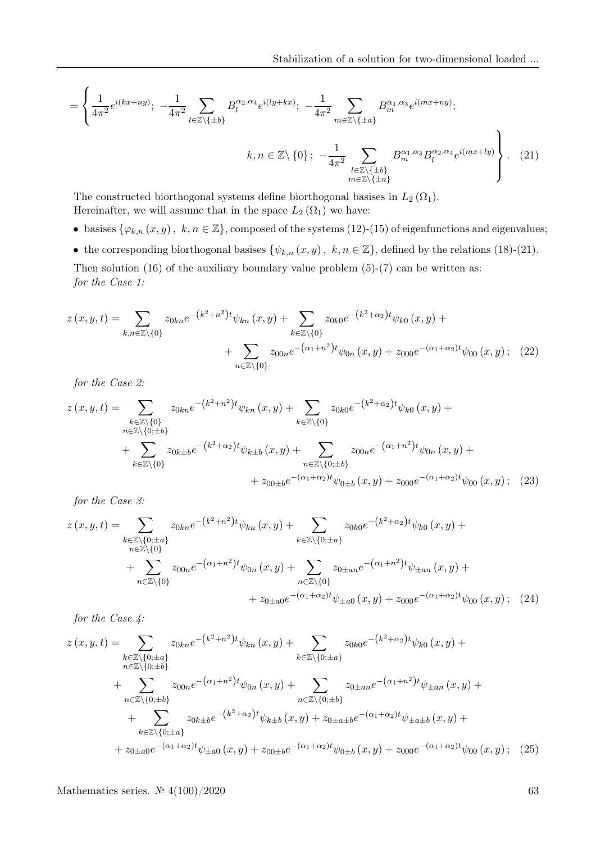$$
= \left\{ \frac{1}{4\pi^2} e^{i(kx+ny)}; \ -\frac{1}{4\pi^2} \sum_{l \in \mathbb{Z} \setminus \{\pm b\}} B_l^{\alpha_2, \alpha_4} e^{i(ly+kx)}; \ -\frac{1}{4\pi^2} \sum_{m \in \mathbb{Z} \setminus \{\pm a\}} B_m^{\alpha_1, \alpha_3} e^{i(mx+ny)}; \right\}.
$$
\n
$$
k, n \in \mathbb{Z} \setminus \{0\} ; \ -\frac{1}{4\pi^2} \sum_{\substack{l \in \mathbb{Z} \setminus \{\pm b\} \\ m \in \mathbb{Z} \setminus \{\pm a\}}} B_m^{\alpha_1, \alpha_3} B_l^{\alpha_2, \alpha_4} e^{i(mx+ly)} \right\}.
$$
\n(21)

The constructed biorthogonal systems define biorthogonal basises in  $L_2(\Omega_1)$ . Hereinafter, we will assume that in the space  $L_2(\Omega_1)$  we have:

- basises  $\{\varphi_{k,n}(x,y), k,n \in \mathbb{Z}\}$ , composed of the systems (12)-(15) of eigenfunctions and eigenvalues;
- the corresponding biorthogonal basises  $\{\psi_{k,n}(x,y), k, n \in \mathbb{Z}\}$ , defined by the relations (18)-(21).

Then solution  $(16)$  of the auxiliary boundary value problem  $(5)-(7)$  can be written as: for the Case 1:

$$
z(x, y, t) = \sum_{k,n \in \mathbb{Z}\backslash\{0\}} z_{0kn} e^{-(k^2+n^2)t} \psi_{kn}(x, y) + \sum_{k \in \mathbb{Z}\backslash\{0\}} z_{0k0} e^{-(k^2+\alpha_2)t} \psi_{k0}(x, y) + + \sum_{n \in \mathbb{Z}\backslash\{0\}} z_{00n} e^{-(\alpha_1+n^2)t} \psi_{0n}(x, y) + z_{000} e^{-(\alpha_1+\alpha_2)t} \psi_{00}(x, y); \quad (22)
$$

for the Case 2:

$$
z(x, y, t) = \sum_{\substack{k \in \mathbb{Z} \setminus \{0\} \\ n \in \mathbb{Z} \setminus \{0\}}} z_{0kn} e^{-(k^2 + n^2)t} \psi_{kn}(x, y) + \sum_{k \in \mathbb{Z} \setminus \{0\}} z_{0ko} e^{-(k^2 + \alpha_2)t} \psi_{ko}(x, y) + + \sum_{k \in \mathbb{Z} \setminus \{0\}} z_{0k \pm b} e^{-(k^2 + \alpha_2)t} \psi_{k \pm b}(x, y) + \sum_{n \in \mathbb{Z} \setminus \{0; \pm b\}} z_{00n} e^{-(\alpha_1 + n^2)t} \psi_{0n}(x, y) + + z_{00 \pm b} e^{-(\alpha_1 + \alpha_2)t} \psi_{0\pm b}(x, y) + z_{000} e^{-(\alpha_1 + \alpha_2)t} \psi_{00}(x, y); \quad (23)
$$

for the Case 3:

$$
z(x, y, t) = \sum_{\substack{k \in \mathbb{Z} \setminus \{0; \pm a\} \\ n \in \mathbb{Z} \setminus \{0\}}} z_{0kn} e^{-(k^2 + n^2)t} \psi_{kn}(x, y) + \sum_{k \in \mathbb{Z} \setminus \{0; \pm a\}} z_{0k0} e^{-(k^2 + \alpha_2)t} \psi_{k0}(x, y) + + \sum_{n \in \mathbb{Z} \setminus \{0\}} z_{00n} e^{-(\alpha_1 + n^2)t} \psi_{0n}(x, y) + \sum_{n \in \mathbb{Z} \setminus \{0\}} z_{0 \pm an} e^{-(\alpha_1 + n^2)t} \psi_{\pm an}(x, y) + + z_{0 \pm a0} e^{-(\alpha_1 + \alpha_2)t} \psi_{\pm a0}(x, y) + z_{000} e^{-(\alpha_1 + \alpha_2)t} \psi_{00}(x, y); \quad (24)
$$

for the Case 4:

$$
z(x, y, t) = \sum_{\substack{k \in \mathbb{Z} \setminus \{0; \pm a\} \\ n \in \mathbb{Z} \setminus \{0; \pm b\}}} z_{0kn} e^{-(k^2 + n^2)t} \psi_{kn}(x, y) + \sum_{k \in \mathbb{Z} \setminus \{0; \pm a\}} z_{0k0} e^{-(k^2 + \alpha_2)t} \psi_{k0}(x, y) + + \sum_{n \in \mathbb{Z} \setminus \{0; \pm b\}} z_{00n} e^{-(\alpha_1 + n^2)t} \psi_{0n}(x, y) + \sum_{n \in \mathbb{Z} \setminus \{0; \pm b\}} z_{0\pm an} e^{-(\alpha_1 + n^2)t} \psi_{\pm an}(x, y) + + \sum_{k \in \mathbb{Z} \setminus \{0; \pm a\}} z_{0k \pm b} e^{-(k^2 + \alpha_2)t} \psi_{k \pm b}(x, y) + z_{0\pm a \pm b} e^{-(\alpha_1 + \alpha_2)t} \psi_{\pm a \pm b}(x, y) + + z_{0\pm a0} e^{-(\alpha_1 + \alpha_2)t} \psi_{\pm a0}(x, y) + z_{00\pm b} e^{-(\alpha_1 + \alpha_2)t} \psi_{0\pm b}(x, y) + z_{000} e^{-(\alpha_1 + \alpha_2)t} \psi_{00}(x, y); (25)
$$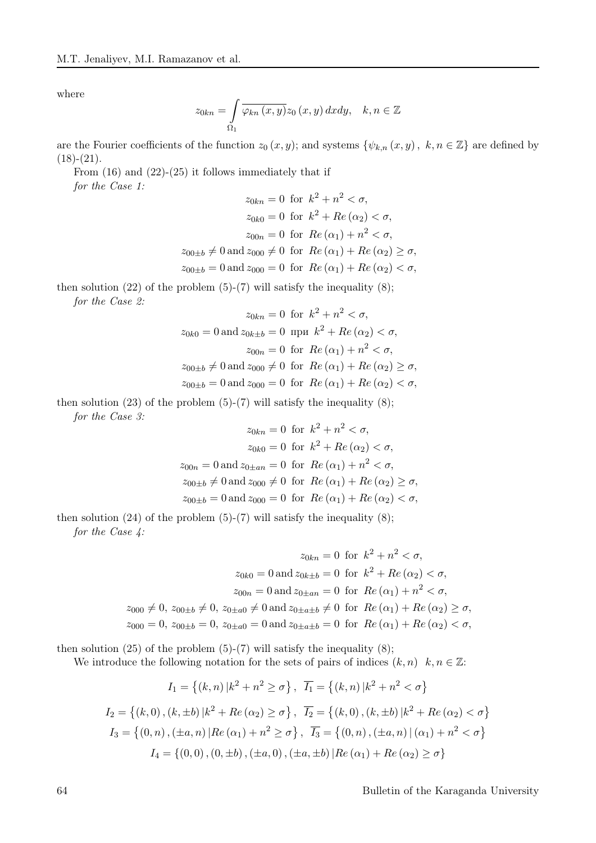where

$$
z_{0kn} = \int_{\Omega_1} \overline{\varphi_{kn}(x, y)} z_0(x, y) dx dy, \quad k, n \in \mathbb{Z}
$$

are the Fourier coefficients of the function  $z_0 (x, y)$ ; and systems  $\{\psi_{k,n} (x, y), k, n \in \mathbb{Z}\}\)$  are defined by  $(18)-(21)$ .

From  $(16)$  and  $(22)-(25)$  it follows immediately that if for the Case 1:

$$
z_{0kn} = 0 \text{ for } k^2 + n^2 < \sigma,
$$
  
\n
$$
z_{0k0} = 0 \text{ for } k^2 + Re(\alpha_2) < \sigma,
$$
  
\n
$$
z_{00n} = 0 \text{ for } Re(\alpha_1) + n^2 < \sigma,
$$
  
\n
$$
z_{00 \pm b} \neq 0 \text{ and } z_{000} \neq 0 \text{ for } Re(\alpha_1) + Re(\alpha_2) \geq \sigma,
$$
  
\n
$$
z_{00 \pm b} = 0 \text{ and } z_{000} = 0 \text{ for } Re(\alpha_1) + Re(\alpha_2) < \sigma,
$$

then solution  $(22)$  of the problem  $(5)-(7)$  will satisfy the inequality  $(8)$ ;

for the Case 2:

$$
z_{0kn} = 0 \text{ for } k^2 + n^2 < \sigma,
$$
  
\n
$$
z_{0k0} = 0 \text{ and } z_{0k \pm b} = 0 \text{ при } k^2 + Re(\alpha_2) < \sigma,
$$
  
\n
$$
z_{00n} = 0 \text{ for } Re(\alpha_1) + n^2 < \sigma,
$$
  
\n
$$
z_{00 \pm b} \neq 0 \text{ and } z_{000} \neq 0 \text{ for } Re(\alpha_1) + Re(\alpha_2) \geq \sigma,
$$
  
\n
$$
z_{00 \pm b} = 0 \text{ and } z_{000} = 0 \text{ for } Re(\alpha_1) + Re(\alpha_2) < \sigma,
$$

then solution  $(23)$  of the problem  $(5)-(7)$  will satisfy the inequality  $(8)$ ;

for the Case 3:

$$
z_{0kn} = 0 \text{ for } k^2 + n^2 < \sigma,
$$
  
\n
$$
z_{0k0} = 0 \text{ for } k^2 + Re(\alpha_2) < \sigma,
$$
  
\n
$$
z_{00n} = 0 \text{ and } z_{0 \pm an} = 0 \text{ for } Re(\alpha_1) + n^2 < \sigma,
$$
  
\n
$$
z_{00 \pm b} \neq 0 \text{ and } z_{000} \neq 0 \text{ for } Re(\alpha_1) + Re(\alpha_2) \geq \sigma,
$$
  
\n
$$
z_{00 \pm b} = 0 \text{ and } z_{000} = 0 \text{ for } Re(\alpha_1) + Re(\alpha_2) < \sigma,
$$

then solution  $(24)$  of the problem  $(5)-(7)$  will satisfy the inequality  $(8)$ ;

for the Case 4:

$$
z_{0kn} = 0 \text{ for } k^2 + n^2 < \sigma,
$$
  
\n
$$
z_{0k0} = 0 \text{ and } z_{0k \pm b} = 0 \text{ for } k^2 + Re(\alpha_2) < \sigma,
$$
  
\n
$$
z_{00n} = 0 \text{ and } z_{0 \pm an} = 0 \text{ for } Re(\alpha_1) + n^2 < \sigma,
$$
  
\n
$$
z_{000} \neq 0, z_{00 \pm b} \neq 0, z_{0 \pm a0} \neq 0 \text{ and } z_{0 \pm a \pm b} \neq 0 \text{ for } Re(\alpha_1) + Re(\alpha_2) \geq \sigma,
$$
  
\n
$$
z_{000} = 0, z_{00 \pm b} = 0, z_{0 \pm a0} = 0 \text{ and } z_{0 \pm a \pm b} = 0 \text{ for } Re(\alpha_1) + Re(\alpha_2) < \sigma,
$$

then solution  $(25)$  of the problem  $(5)-(7)$  will satisfy the inequality  $(8)$ ;

We introduce the following notation for the sets of pairs of indices  $(k, n)$   $k, n \in \mathbb{Z}$ :

$$
I_1 = \{(k, n) | k^2 + n^2 \ge \sigma\}, \ \overline{I_1} = \{(k, n) | k^2 + n^2 < \sigma\}
$$
\n
$$
I_2 = \{(k, 0), (k, \pm b) | k^2 + Re(\alpha_2) \ge \sigma\}, \ \overline{I_2} = \{(k, 0), (k, \pm b) | k^2 + Re(\alpha_2) < \sigma\}
$$
\n
$$
I_3 = \{(0, n), (\pm a, n) | Re(\alpha_1) + n^2 \ge \sigma\}, \ \overline{I_3} = \{(0, n), (\pm a, n) | (\alpha_1) + n^2 < \sigma\}
$$
\n
$$
I_4 = \{(0, 0), (0, \pm b), (\pm a, 0), (\pm a, \pm b) | Re(\alpha_1) + Re(\alpha_2) \ge \sigma\}
$$

64 Bulletin of the Karaganda University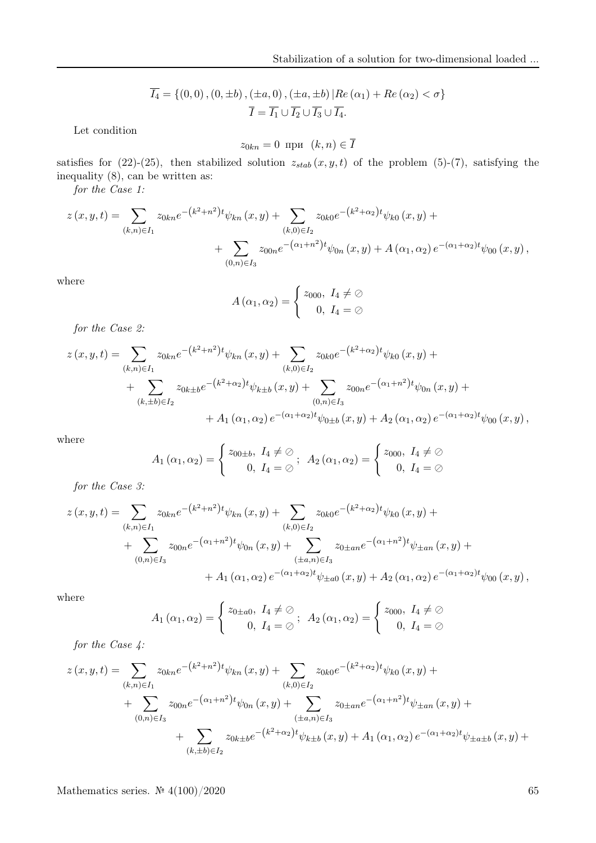$$
\overline{I_4} = \{ (0,0), (0, \pm b), (\pm a, 0), (\pm a, \pm b) | Re (\alpha_1) + Re (\alpha_2) < \sigma \}
$$

$$
\overline{I} = \overline{I_1} \cup \overline{I_2} \cup \overline{I_3} \cup \overline{I_4}.
$$

Let condition

$$
z_{0kn} = 0 \text{ mpn } (k, n) \in \overline{I}
$$

satisfies for (22)-(25), then stabilized solution  $z_{stab}(x, y, t)$  of the problem (5)-(7), satisfying the inequality (8), can be written as:

for the Case 1:

$$
z(x, y, t) = \sum_{(k,n)\in I_1} z_{0kn} e^{-(k^2+n^2)t} \psi_{kn}(x, y) + \sum_{(k,0)\in I_2} z_{0k0} e^{-(k^2+\alpha_2)t} \psi_{k0}(x, y) + + \sum_{(0,n)\in I_3} z_{00n} e^{-(\alpha_1+n^2)t} \psi_{0n}(x, y) + A(\alpha_1, \alpha_2) e^{-(\alpha_1+\alpha_2)t} \psi_{00}(x, y),
$$

where

$$
A(\alpha_1, \alpha_2) = \begin{cases} z_{000}, & I_4 \neq \emptyset \\ & 0, I_4 = \emptyset \end{cases}
$$

for the Case 2:

$$
z(x, y, t) = \sum_{(k,n)\in I_1} z_{0kn} e^{-(k^2+n^2)t} \psi_{kn}(x, y) + \sum_{(k,0)\in I_2} z_{0k0} e^{-(k^2+\alpha_2)t} \psi_{k0}(x, y) + + \sum_{(k,\pm b)\in I_2} z_{0k\pm b} e^{-(k^2+\alpha_2)t} \psi_{k\pm b}(x, y) + \sum_{(0,n)\in I_3} z_{00n} e^{-(\alpha_1+n^2)t} \psi_{0n}(x, y) + + A_1(\alpha_1, \alpha_2) e^{-(\alpha_1+\alpha_2)t} \psi_{0\pm b}(x, y) + A_2(\alpha_1, \alpha_2) e^{-(\alpha_1+\alpha_2)t} \psi_{00}(x, y),
$$

where

$$
A_1(\alpha_1, \alpha_2) = \begin{cases} z_{00 \pm b}, & I_4 \neq \varnothing \\ & 0, \ I_4 = \varnothing \end{cases}; \ A_2(\alpha_1, \alpha_2) = \begin{cases} z_{000}, & I_4 \neq \varnothing \\ & 0, \ I_4 = \varnothing \end{cases}
$$

for the Case 3:

$$
z(x, y, t) = \sum_{(k,n)\in I_1} z_{0kn} e^{-(k^2+n^2)t} \psi_{kn}(x, y) + \sum_{(k,0)\in I_2} z_{0k0} e^{-(k^2+\alpha_2)t} \psi_{k0}(x, y) + + \sum_{(0,n)\in I_3} z_{00n} e^{-(\alpha_1+n^2)t} \psi_{0n}(x, y) + \sum_{(\pm a,n)\in I_3} z_{0\pm an} e^{-(\alpha_1+n^2)t} \psi_{\pm an}(x, y) + + A_1(\alpha_1, \alpha_2) e^{-(\alpha_1+\alpha_2)t} \psi_{\pm a0}(x, y) + A_2(\alpha_1, \alpha_2) e^{-(\alpha_1+\alpha_2)t} \psi_{00}(x, y),
$$

where

$$
A_1(\alpha_1, \alpha_2) = \begin{cases} z_{0 \pm a_0}, & I_4 \neq \varnothing \\ & 0, \ I_4 = \varnothing \end{cases}; \ A_2(\alpha_1, \alpha_2) = \begin{cases} z_{000}, & I_4 \neq \varnothing \\ & 0, \ I_4 = \varnothing \end{cases}
$$

for the Case 4:

$$
z(x, y, t) = \sum_{(k,n)\in I_1} z_{0kn} e^{-(k^2+n^2)t} \psi_{kn}(x, y) + \sum_{(k,0)\in I_2} z_{0k0} e^{-(k^2+\alpha_2)t} \psi_{k0}(x, y) + + \sum_{(0,n)\in I_3} z_{00n} e^{-(\alpha_1+n^2)t} \psi_{0n}(x, y) + \sum_{(\pm a,n)\in I_3} z_{0\pm an} e^{-(\alpha_1+n^2)t} \psi_{\pm an}(x, y) + + \sum_{(k,\pm b)\in I_2} z_{0k\pm b} e^{-(k^2+\alpha_2)t} \psi_{k\pm b}(x, y) + A_1(\alpha_1, \alpha_2) e^{-(\alpha_1+\alpha_2)t} \psi_{\pm a\pm b}(x, y) +
$$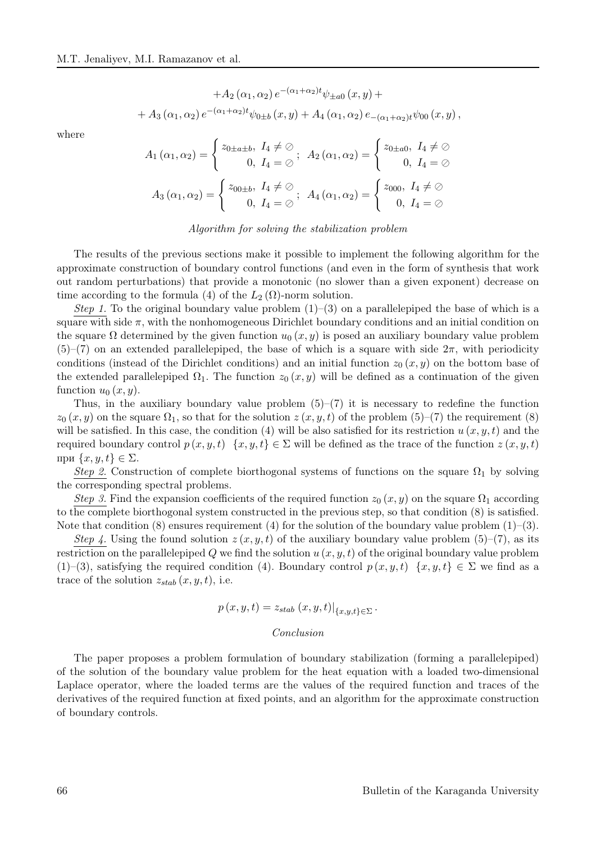+
$$
A_2(\alpha_1, \alpha_2) e^{-(\alpha_1 + \alpha_2)t} \psi_{\pm a0}(x, y) +
$$
  
+ $A_3(\alpha_1, \alpha_2) e^{-(\alpha_1 + \alpha_2)t} \psi_{0 \pm b}(x, y) + A_4(\alpha_1, \alpha_2) e_{-(\alpha_1 + \alpha_2)t} \psi_{00}(x, y),$ 

where

$$
A_1(\alpha_1, \alpha_2) = \begin{cases} z_{0 \pm a \pm b}, & I_4 \neq \oslash \\ & 0, \ I_4 = \oslash \end{cases}; \ A_2(\alpha_1, \alpha_2) = \begin{cases} z_{0 \pm a0}, & I_4 \neq \oslash \\ & 0, \ I_4 = \oslash \end{cases}
$$
\n
$$
A_3(\alpha_1, \alpha_2) = \begin{cases} z_{00 \pm b}, & I_4 \neq \oslash \\ & 0, \ I_4 = \oslash \end{cases}; \ A_4(\alpha_1, \alpha_2) = \begin{cases} z_{000}, & I_4 \neq \oslash \\ & 0, \ I_4 = \oslash \end{cases}
$$

#### Algorithm for solving the stabilization problem

The results of the previous sections make it possible to implement the following algorithm for the approximate construction of boundary control functions (and even in the form of synthesis that work out random perturbations) that provide a monotonic (no slower than a given exponent) decrease on time according to the formula (4) of the  $L_2(\Omega)$ -norm solution.

Step 1. To the original boundary value problem  $(1)-(3)$  on a parallelepiped the base of which is a square with side  $\pi$ , with the nonhomogeneous Dirichlet boundary conditions and an initial condition on the square  $\Omega$  determined by the given function  $u_0(x, y)$  is posed an auxiliary boundary value problem  $(5)-(7)$  on an extended parallelepiped, the base of which is a square with side  $2\pi$ , with periodicity conditions (instead of the Dirichlet conditions) and an initial function  $z_0(x, y)$  on the bottom base of the extended parallelepiped  $\Omega_1$ . The function  $z_0(x, y)$  will be defined as a continuation of the given function  $u_0(x, y)$ .

Thus, in the auxiliary boundary value problem  $(5)-(7)$  it is necessary to redefine the function  $z_0(x, y)$  on the square  $\Omega_1$ , so that for the solution  $z(x, y, t)$  of the problem (5)–(7) the requirement (8) will be satisfied. In this case, the condition (4) will be also satisfied for its restriction  $u(x, y, t)$  and the required boundary control  $p(x, y, t) \{x, y, t\} \in \Sigma$  will be defined as the trace of the function  $z(x, y, t)$ при  $\{x, y, t\} \in \Sigma$ .

Step 2. Construction of complete biorthogonal systems of functions on the square  $\Omega_1$  by solving the corresponding spectral problems.

Step 3. Find the expansion coefficients of the required function  $z_0(x, y)$  on the square  $\Omega_1$  according to the complete biorthogonal system constructed in the previous step, so that condition (8) is satisfied. Note that condition (8) ensures requirement (4) for the solution of the boundary value problem  $(1)$ –(3).

Step 4. Using the found solution  $z(x, y, t)$  of the auxiliary boundary value problem  $(5)-(7)$ , as its restriction on the parallelepiped Q we find the solution  $u(x, y, t)$  of the original boundary value problem (1)–(3), satisfying the required condition (4). Boundary control  $p(x, y, t) \{x, y, t\} \in \Sigma$  we find as a trace of the solution  $z_{stab}(x, y, t)$ , i.e.

$$
p(x, y, t) = z_{stab}(x, y, t)|_{\{x, y, t\} \in \Sigma}.
$$

#### Conclusion

The paper proposes a problem formulation of boundary stabilization (forming a parallelepiped) of the solution of the boundary value problem for the heat equation with a loaded two-dimensional Laplace operator, where the loaded terms are the values of the required function and traces of the derivatives of the required function at fixed points, and an algorithm for the approximate construction of boundary controls.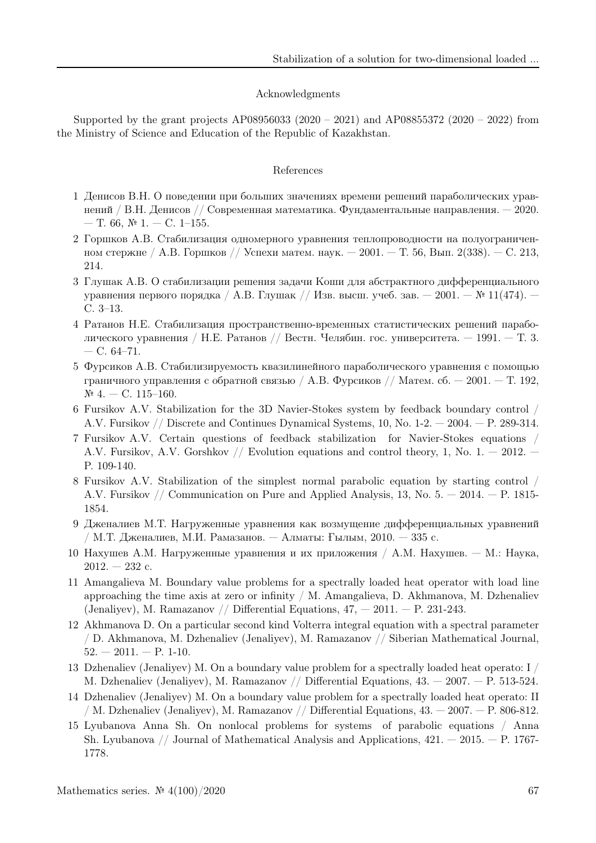#### Acknowledgments

Supported by the grant projects AP08956033 (2020 – 2021) and AP08855372 (2020 – 2022) from the Ministry of Science and Education of the Republic of Kazakhstan.

#### References

- 1 Денисов В.Н. О поведении при больших значениях времени решений параболических уравнений / В.Н. Денисов // Современная математика. Фундаментальные направления. — 2020. – Т. 66, № 1. — С. 1–155.
- 2 Горшков А.В. Стабилизация одномерного уравнения теплопроводности на полуограниченном стержне / А.В. Горшков // Успехи матем. наук. — 2001. — Т. 56, Вып. 2(338). — С. 213, 214.
- 3 Глушак А.В. О стабилизации решения задачи Коши для абстрактного дифференциального уравнения первого порядка / А.В. Глушак // Изв. высш. учеб. зав. — 2001. — № 11(474). — С. 3–13.
- 4 Ратанов Н.Е. Стабилизация пространственно-временных статистических решений параболического уравнения / Н.Е. Ратанов // Вестн. Челябин. гос. университета.  $-1991. -$  Т. 3.  $-$  C. 64–71.
- 5 Фурсиков А.В. Стабилизируемость квазилинейного параболического уравнения с помощью граничного управления с обратной связью / А.В. Фурсиков // Матем. сб. — 2001. — Т. 192,  $N<sup>⁶</sup> 4.$  — C. 115–160.
- 6 Fursikov A.V. Stabilization for the 3D Navier-Stokes system by feedback boundary control / A.V. Fursikov // Discrete and Continues Dynamical Systems, 10, No. 1-2. — 2004. — P. 289-314.
- 7 Fursikov A.V. Certain questions of feedback stabilization for Navier-Stokes equations / A.V. Fursikov, A.V. Gorshkov // Evolution equations and control theory, 1, No. 1. — 2012. — P. 109-140.
- 8 Fursikov A.V. Stabilization of the simplest normal parabolic equation by starting control / A.V. Fursikov // Communication on Pure and Applied Analysis, 13, No. 5. — 2014. — P. 1815- 1854.
- 9 Дженалиев М.Т. Нагруженные уравнения как возмущение дифференциальных уравнений / М.Т. Дженалиев, М.И. Рамазанов. — Алматы: Ғылым, 2010. — 335 с.
- 10 Нахушев А.М. Нагруженные уравнения и их приложения / А.М. Нахушев. М.: Наука,  $2012. - 232$  c.
- 11 Amangalieva M. Boundary value problems for a spectrally loaded heat operator with load line approaching the time axis at zero or infinity / M. Amangalieva, D. Akhmanova, M. Dzhenaliev (Jenaliyev), M. Ramazanov // Differential Equations,  $47, -2011$ . - P. 231-243.
- 12 Akhmanova D. On a particular second kind Volterra integral equation with a spectral parameter / D. Akhmanova, M. Dzhenaliev (Jenaliyev), M. Ramazanov // Siberian Mathematical Journal,  $52. - 2011. - P. 1-10.$
- 13 Dzhenaliev (Jenaliyev) M. On a boundary value problem for a spectrally loaded heat operato: I / M. Dzhenaliev (Jenaliyev), M. Ramazanov // Differential Equations, 43. — 2007. — P. 513-524.
- 14 Dzhenaliev (Jenaliyev) M. On a boundary value problem for a spectrally loaded heat operato: II / M. Dzhenaliev (Jenaliyev), M. Ramazanov // Differential Equations,  $43. -2007. - P. 806-812$ .
- 15 Lyubanova Anna Sh. On nonlocal problems for systems of parabolic equations / Anna Sh. Lyubanova // Journal of Mathematical Analysis and Applications, 421. — 2015. — P. 1767- 1778.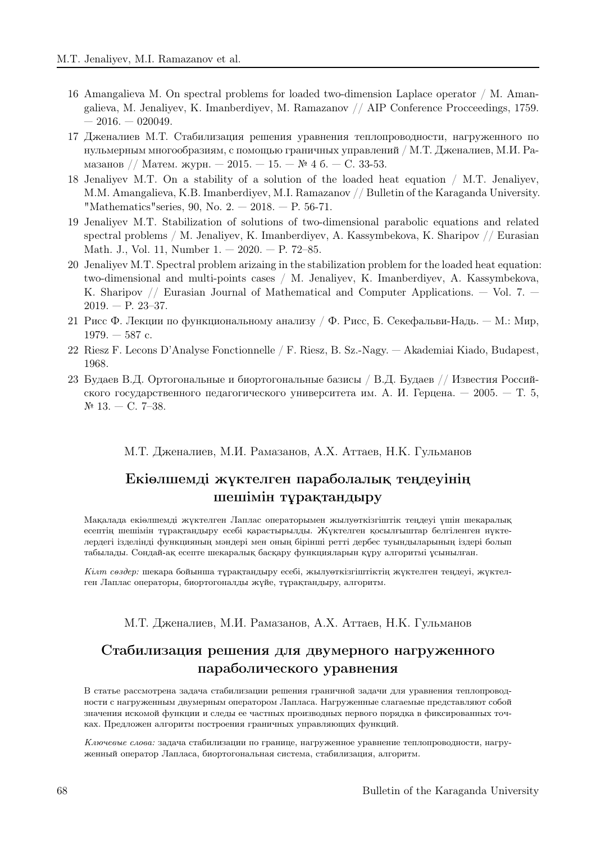- 16 Amangalieva M. On spectral problems for loaded two-dimension Laplace operator / M. Amangalieva, M. Jenaliyev, K. Imanberdiyev, M. Ramazanov // AIP Conference Procceedings, 1759.  $-2016. -020049.$
- 17 Дженалиев М.Т. Стабилизация решения уравнения теплопроводности, нагруженного по нульмерным многообразиям, с помощью граничных управлений / М.Т. Дженалиев, М.И. Рамазанов // Матем. журн. — 2015. — 15. — № 4 б. — С. 33-53.
- 18 Jenaliyev M.T. On a stability of a solution of the loaded heat equation / M.T. Jenaliyev, M.M. Amangalieva, K.B. Imanberdiyev, M.I. Ramazanov // Bulletin of the Karaganda University. "Mathematics"series, 90, No. 2. — 2018. — P. 56-71.
- 19 Jenaliyev M.T. Stabilization of solutions of two-dimensional parabolic equations and related spectral problems / M. Jenaliyev, K. Imanberdiyev, A. Kassymbekova, K. Sharipov // Eurasian Math. J., Vol. 11, Number 1. — 2020. — P. 72–85.
- 20 Jenaliyev M.T. Spectral problem arizaing in the stabilization problem for the loaded heat equation: two-dimensional and multi-points cases / M. Jenaliyev, K. Imanberdiyev, A. Kassymbekova, K. Sharipov // Eurasian Journal of Mathematical and Computer Applications. — Vol. 7. —  $2019. - P. 23 - 37.$
- 21 Рисс Ф. Лекции по функциональному анализу / Ф. Рисс, Б. Секефальви-Надь. М.: Мир, 1979. — 587 с.
- 22 Riesz F. Lecons D'Analyse Fonctionnelle / F. Riesz, B. Sz.-Nagy. Akademiai Kiado, Budapest, 1968.
- 23 Будаев В.Д. Ортогональные и биортогональные базисы / В.Д. Будаев // Известия Российского государственного педагогического университета им. А. И. Герцена.  $-2005. - T. 5$ .  $N<sup>⁶</sup> 13. − C. 7-38.$

М.Т. Дженалиев, М.И. Рамазанов, А.Х. Аттаев, Н.К. Гульманов

# Екiөлшемдi жүктелген параболалық теңдеуiнiң шешiмiн тұрақтандыру

Мақалада екiөлшемдi жүктелген Лаплас операторымен жылуөткiзгiштiк теңдеуi үшiн шекаралық есептiң шешiмiн тұрақтандыру есебi қарастырылды. Жүктелген қосылғыштар белгiленген нүктелердегi iзделiндi функцияның мәндерi мен оның бiрiншi реттi дербес туындыларының iздерi болып табылады. Сондай-ақ есепте шекаралық басқару функцияларын құру алгоритмi ұсынылған.

 $Ki$ *лт сөздер:* шекара бойынша тұрақтандыру есебi, жылуөткiзгiштiктiң жүктелген теңдеуi, жүктелген Лаплас операторы, биортогоналды жүйе, тұрақтандыру, алгоритм.

#### М.Т. Дженалиев, М.И. Рамазанов, А.Х. Аттаев, Н.К. Гульманов

## Стабилизация решения для двумерного нагруженного параболического уравнения

В статье рассмотрена задача стабилизации решения граничной задачи для уравнения теплопроводности с нагруженным двумерным оператором Лапласа. Нагруженные слагаемые представляют собой значения искомой функции и следы ее частных производных первого порядка в фиксированных точках. Предложен алгоритм построения граничных управляющих функций.

Ключевые слова: задача стабилизации по границе, нагруженное уравнение теплопроводности, нагруженный оператор Лапласа, биортогональная система, стабилизация, алгоритм.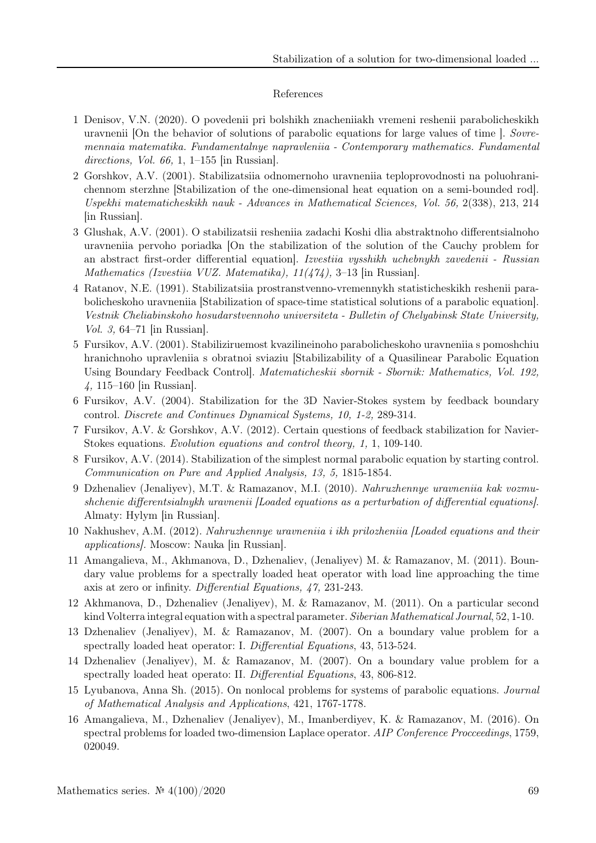#### References

- 1 Denisov, V.N. (2020). O povedenii pri bolshikh znacheniiakh vremeni reshenii parabolicheskikh uravnenii [On the behavior of solutions of parabolic equations for large values of time ]. Sovremennaia matematika. Fundamentalnye napravleniia - Contemporary mathematics. Fundamental directions, Vol. 66, 1, 1–155 [in Russian].
- 2 Gorshkov, A.V. (2001). Stabilizatsiia odnomernoho uravneniia teploprovodnosti na poluohranichennom sterzhne [Stabilization of the one-dimensional heat equation on a semi-bounded rod]. Uspekhi matematicheskikh nauk - Advances in Mathematical Sciences, Vol. 56, 2(338), 213, 214 [in Russian].
- 3 Glushak, A.V. (2001). O stabilizatsii resheniia zadachi Koshi dlia abstraktnoho differentsialnoho uravneniia pervoho poriadka [On the stabilization of the solution of the Cauchy problem for an abstract first-order differential equation]. Izvestiia vysshikh uchebnykh zavedenii - Russian Mathematics (Izvestiia VUZ. Matematika), 11(474), 3–13 [in Russian].
- 4 Ratanov, N.E. (1991). Stabilizatsiia prostranstvenno-vremennykh statisticheskikh reshenii parabolicheskoho uravneniia [Stabilization of space-time statistical solutions of a parabolic equation]. Vestnik Cheliabinskoho hosudarstvennoho universiteta - Bulletin of Chelyabinsk State University, Vol. 3, 64–71 [in Russian].
- 5 Fursikov, A.V. (2001). Stabiliziruemost kvazilineinoho parabolicheskoho uravneniia s pomoshchiu hranichnoho upravleniia s obratnoi sviaziu [Stabilizability of a Quasilinear Parabolic Equation Using Boundary Feedback Control]. Matematicheskii sbornik - Sbornik: Mathematics, Vol. 192, 4, 115–160 [in Russian].
- 6 Fursikov, A.V. (2004). Stabilization for the 3D Navier-Stokes system by feedback boundary control. Discrete and Continues Dynamical Systems, 10, 1-2, 289-314.
- 7 Fursikov, A.V. & Gorshkov, A.V. (2012). Certain questions of feedback stabilization for Navier-Stokes equations. Evolution equations and control theory, 1, 1, 109-140.
- 8 Fursikov, A.V. (2014). Stabilization of the simplest normal parabolic equation by starting control. Communication on Pure and Applied Analysis, 13, 5, 1815-1854.
- 9 Dzhenaliev (Jenaliyev), M.T. & Ramazanov, M.I. (2010). Nahruzhennye uravneniia kak vozmushchenie differentsialnykh uravnenii [Loaded equations as a perturbation of differential equations]. Almaty: Hylym [in Russian].
- 10 Nakhushev, A.M. (2012). Nahruzhennye uravneniia i ikh prilozheniia [Loaded equations and their applications]. Moscow: Nauka [in Russian].
- 11 Amangalieva, M., Akhmanova, D., Dzhenaliev, (Jenaliyev) M. & Ramazanov, M. (2011). Boundary value problems for a spectrally loaded heat operator with load line approaching the time axis at zero or infinity. Differential Equations, 47, 231-243.
- 12 Akhmanova, D., Dzhenaliev (Jenaliyev), M. & Ramazanov, M. (2011). On a particular second kind Volterra integral equation with a spectral parameter. Siberian Mathematical Journal, 52, 1-10.
- 13 Dzhenaliev (Jenaliyev), M. & Ramazanov, M. (2007). On a boundary value problem for a spectrally loaded heat operator: I. Differential Equations, 43, 513-524.
- 14 Dzhenaliev (Jenaliyev), M. & Ramazanov, M. (2007). On a boundary value problem for a spectrally loaded heat operato: II. Differential Equations, 43, 806-812.
- 15 Lyubanova, Anna Sh. (2015). On nonlocal problems for systems of parabolic equations. Journal of Mathematical Analysis and Applications, 421, 1767-1778.
- 16 Amangalieva, M., Dzhenaliev (Jenaliyev), M., Imanberdiyev, K. & Ramazanov, M. (2016). On spectral problems for loaded two-dimension Laplace operator. AIP Conference Procceedings, 1759, 020049.